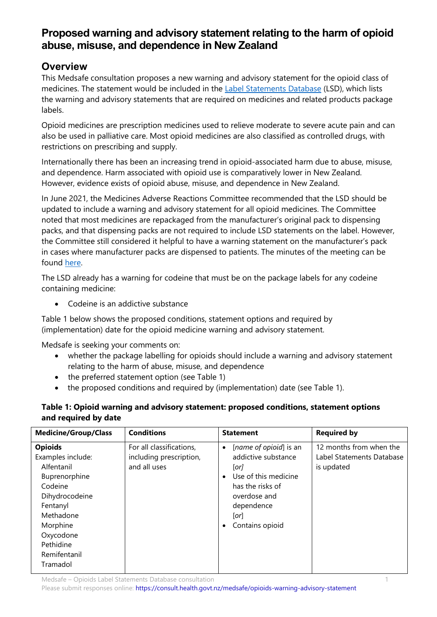# **Proposed warning and advisory statement relating to the harm of opioid abuse, misuse, and dependence in New Zealand**

## **Overview**

This Medsafe consultation proposes a new warning and advisory statement for the opioid class of medicines. The statement would be included in the [Label Statements Database](https://www.medsafe.govt.nz/regulatory/labelling.asp) (LSD), which lists the warning and advisory statements that are required on medicines and related products package labels.

Opioid medicines are prescription medicines used to relieve moderate to severe acute pain and can also be used in palliative care. Most opioid medicines are also classified as controlled drugs, with restrictions on prescribing and supply.

Internationally there has been an increasing trend in opioid-associated harm due to abuse, misuse, and dependence. Harm associated with opioid use is comparatively lower in New Zealand. However, evidence exists of opioid abuse, misuse, and dependence in New Zealand.

In June 2021, the Medicines Adverse Reactions Committee recommended that the LSD should be updated to include a warning and advisory statement for all opioid medicines. The Committee noted that most medicines are repackaged from the manufacturer's original pack to dispensing packs, and that dispensing packs are not required to include LSD statements on the label. However, the Committee still considered it helpful to have a warning statement on the manufacturer's pack in cases where manufacturer packs are dispensed to patients. The minutes of the meeting can be found [here.](https://www.medsafe.govt.nz/profs/adverse/Minutes186.htm#3.2.3)

The LSD already has a warning for codeine that must be on the package labels for any codeine containing medicine:

• Codeine is an addictive substance

Table 1 below shows the proposed conditions, statement options and required by (implementation) date for the opioid medicine warning and advisory statement.

Medsafe is seeking your comments on:

- whether the package labelling for opioids should include a warning and advisory statement relating to the harm of abuse, misuse, and dependence
- the preferred statement option (see Table 1)
- the proposed conditions and required by (implementation) date (see Table 1).

## **Table 1: Opioid warning and advisory statement: proposed conditions, statement options and required by date**

| <b>Medicine/Group/Class</b>                                                                                                                                                                | <b>Conditions</b>                                                   | <b>Statement</b>                                                                                                                                                                                | <b>Required by</b>                                                 |
|--------------------------------------------------------------------------------------------------------------------------------------------------------------------------------------------|---------------------------------------------------------------------|-------------------------------------------------------------------------------------------------------------------------------------------------------------------------------------------------|--------------------------------------------------------------------|
| <b>Opioids</b><br>Examples include:<br>Alfentanil<br>Buprenorphine<br>Codeine<br>Dihydrocodeine<br>Fentanyl<br>Methadone<br>Morphine<br>Oxycodone<br>Pethidine<br>Remifentanil<br>Tramadol | For all classifications,<br>including prescription,<br>and all uses | [name of opioid] is an<br>$\bullet$<br>addictive substance<br>$[$ or $]$<br>Use of this medicine<br>$\bullet$<br>has the risks of<br>overdose and<br>dependence<br>[or]<br>Contains opioid<br>٠ | 12 months from when the<br>Label Statements Database<br>is updated |

Medsafe – Opioids Label Statements Database consultation 1

Please submit responses online:<https://consult.health.govt.nz/medsafe/opioids-warning-advisory-statement>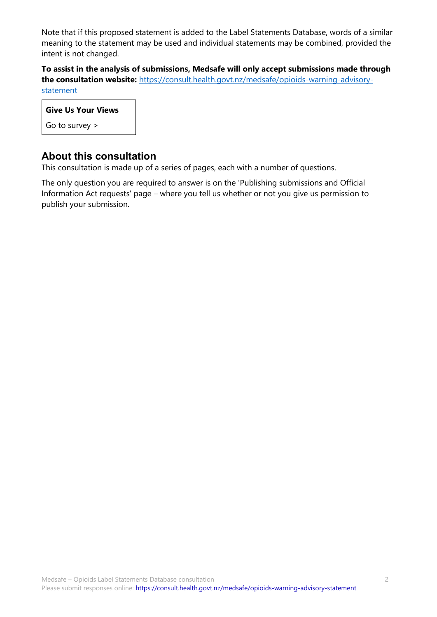Note that if this proposed statement is added to the Label Statements Database, words of a similar meaning to the statement may be used and individual statements may be combined, provided the intent is not changed.

**To assist in the analysis of submissions, Medsafe will only accept submissions made through the consultation website:** [https://consult.health.govt.nz/medsafe/opioids-warning-advisory](https://consult.health.govt.nz/medsafe/opioids-warning-advisory-statement)[statement](https://consult.health.govt.nz/medsafe/opioids-warning-advisory-statement)

| <b>Give Us Your Views</b> |  |
|---------------------------|--|
| Go to survey $>$          |  |

## **About this consultation**

This consultation is made up of a series of pages, each with a number of questions.

The only question you are required to answer is on the 'Publishing submissions and Official Information Act requests' page – where you tell us whether or not you give us permission to publish your submission.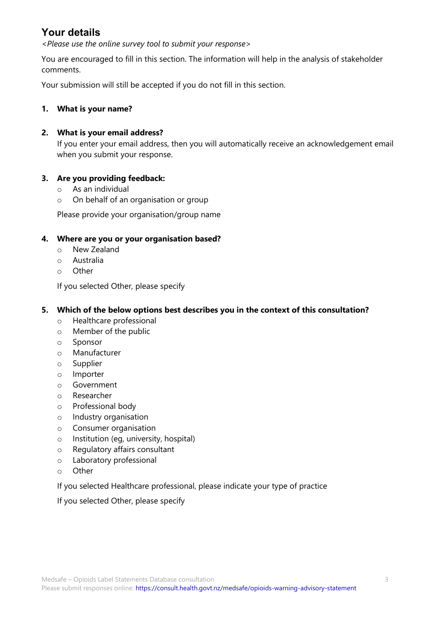## **Your details**

<*Please use the online survey tool to submit your response*>

You are encouraged to fill in this section. The information will help in the analysis of stakeholder comments.

Your submission will still be accepted if you do not fill in this section.

#### **1. What is your name?**

#### **2. What is your email address?**

If you enter your email address, then you will automatically receive an acknowledgement email when you submit your response.

#### **3. Are you providing feedback:**

- o As an individual
- o On behalf of an organisation or group

Please provide your organisation/group name

#### **4. Where are you or your organisation based?**

- o New Zealand
- o Australia
- o Other

If you selected Other, please specify

#### **5. Which of the below options best describes you in the context of this consultation?**

- o Healthcare professional
- o Member of the public
- o Sponsor
- o Manufacturer
- o Supplier
- o Importer
- o Government
- o Researcher
- o Professional body
- o Industry organisation
- o Consumer organisation
- o Institution (eg, university, hospital)
- o Regulatory affairs consultant
- o Laboratory professional
- o Other

### If you selected Healthcare professional, please indicate your type of practice

If you selected Other, please specify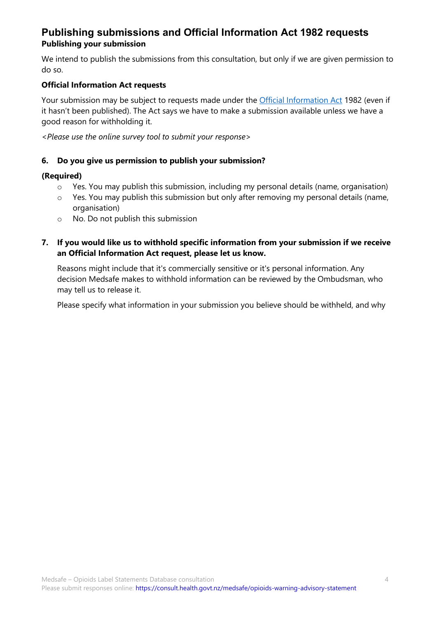## **Publishing submissions and Official Information Act 1982 requests Publishing your submission**

We intend to publish the submissions from this consultation, but only if we are given permission to do so.

### **Official Information Act requests**

Your submission may be subject to requests made under the [Official Information Act](http://legislation.govt.nz/act/public/1982/0156/107.0/DLM64785.html) 1982 (even if it hasn't been published). The Act says we have to make a submission available unless we have a good reason for withholding it.

<*Please use the online survey tool to submit your response*>

### **6. Do you give us permission to publish your submission?**

#### **(Required)**

- o Yes. You may publish this submission, including my personal details (name, organisation)
- o Yes. You may publish this submission but only after removing my personal details (name, organisation)
- o No. Do not publish this submission

### **7. If you would like us to withhold specific information from your submission if we receive an Official Information Act request, please let us know.**

Reasons might include that it's commercially sensitive or it's personal information. Any decision Medsafe makes to withhold information can be reviewed by the Ombudsman, who may tell us to release it.

Please specify what information in your submission you believe should be withheld, and why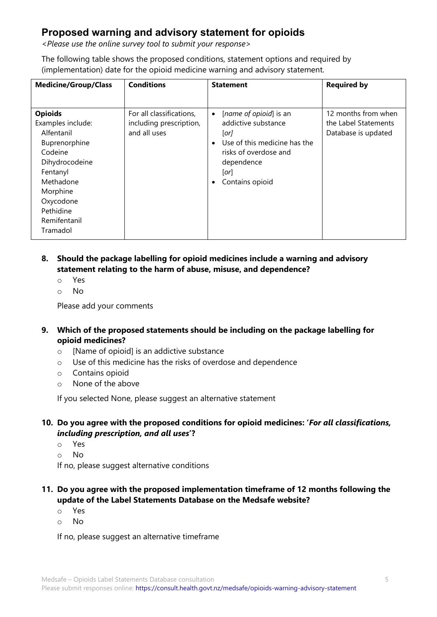## **Proposed warning and advisory statement for opioids**

<*Please use the online survey tool to submit your response*>

The following table shows the proposed conditions, statement options and required by (implementation) date for the opioid medicine warning and advisory statement.

| <b>Medicine/Group/Class</b>                                                                                                                       | <b>Conditions</b>                                                   | <b>Statement</b>                                                                                                                                                                               | <b>Required by</b>                                                 |
|---------------------------------------------------------------------------------------------------------------------------------------------------|---------------------------------------------------------------------|------------------------------------------------------------------------------------------------------------------------------------------------------------------------------------------------|--------------------------------------------------------------------|
| <b>Opioids</b><br>Examples include:<br>Alfentanil<br>Buprenorphine<br>Codeine<br>Dihydrocodeine<br>Fentanyl<br>Methadone<br>Morphine<br>Oxycodone | For all classifications,<br>including prescription,<br>and all uses | [name of opioid] is an<br>$\bullet$<br>addictive substance<br>[or]<br>Use of this medicine has the<br>$\bullet$<br>risks of overdose and<br>dependence<br>[or]<br>Contains opioid<br>$\bullet$ | 12 months from when<br>the Label Statements<br>Database is updated |
| Pethidine<br>Remifentanil<br>Tramadol                                                                                                             |                                                                     |                                                                                                                                                                                                |                                                                    |
|                                                                                                                                                   |                                                                     |                                                                                                                                                                                                |                                                                    |

## **8. Should the package labelling for opioid medicines include a warning and advisory statement relating to the harm of abuse, misuse, and dependence?**

- o Yes
- o No

Please add your comments

## **9. Which of the proposed statements should be including on the package labelling for opioid medicines?**

- o [Name of opioid] is an addictive substance
- o Use of this medicine has the risks of overdose and dependence
- o Contains opioid
- o None of the above

If you selected None, please suggest an alternative statement

## **10. Do you agree with the proposed conditions for opioid medicines: '***For all classifications, including prescription, and all uses***'?**

- o Yes
- o No

If no, please suggest alternative conditions

#### **11. Do you agree with the proposed implementation timeframe of 12 months following the update of the Label Statements Database on the Medsafe website?**

- o Yes
- o No

If no, please suggest an alternative timeframe